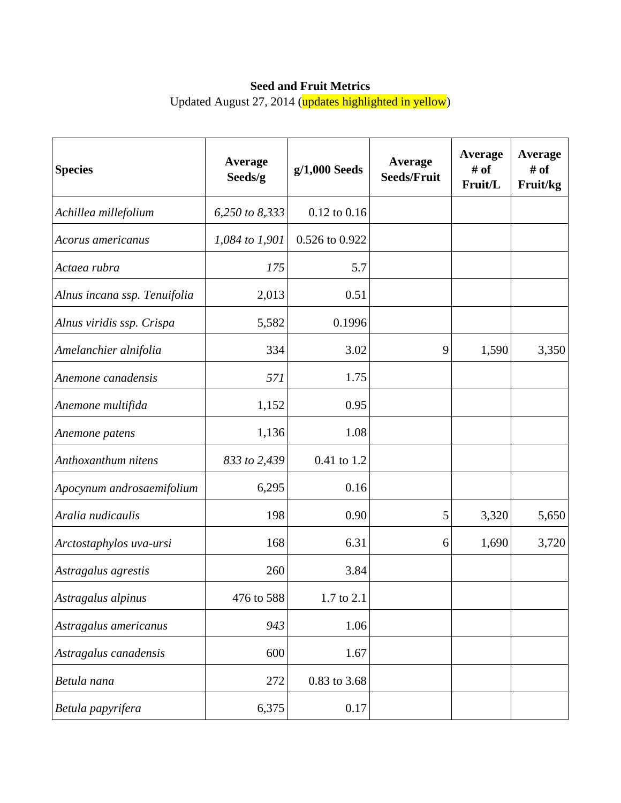## **Seed and Fruit Metrics**

Updated August 27, 2014 (updates highlighted in yellow)

| <b>Species</b>               | <b>Average</b><br>Seeds/g | $g/1,000$ Seeds  | Average<br><b>Seeds/Fruit</b> | Average<br># of<br>Fruit/L | Average<br># of<br>Fruit/kg |
|------------------------------|---------------------------|------------------|-------------------------------|----------------------------|-----------------------------|
| Achillea millefolium         | 6,250 to 8,333            | $0.12$ to $0.16$ |                               |                            |                             |
| Acorus americanus            | 1,084 to 1,901            | 0.526 to 0.922   |                               |                            |                             |
| Actaea rubra                 | 175                       | 5.7              |                               |                            |                             |
| Alnus incana ssp. Tenuifolia | 2,013                     | 0.51             |                               |                            |                             |
| Alnus viridis ssp. Crispa    | 5,582                     | 0.1996           |                               |                            |                             |
| Amelanchier alnifolia        | 334                       | 3.02             | 9                             | 1,590                      | 3,350                       |
| Anemone canadensis           | 571                       | 1.75             |                               |                            |                             |
| Anemone multifida            | 1,152                     | 0.95             |                               |                            |                             |
| Anemone patens               | 1,136                     | 1.08             |                               |                            |                             |
| Anthoxanthum nitens          | 833 to 2,439              | 0.41 to 1.2      |                               |                            |                             |
| Apocynum androsaemifolium    | 6,295                     | 0.16             |                               |                            |                             |
| Aralia nudicaulis            | 198                       | 0.90             | 5                             | 3,320                      | 5,650                       |
| Arctostaphylos uva-ursi      | 168                       | 6.31             | 6                             | 1,690                      | 3,720                       |
| Astragalus agrestis          | 260                       | 3.84             |                               |                            |                             |
| Astragalus alpinus           | 476 to 588                | 1.7 to 2.1       |                               |                            |                             |
| Astragalus americanus        | 943                       | 1.06             |                               |                            |                             |
| Astragalus canadensis        | 600                       | 1.67             |                               |                            |                             |
| Betula nana                  | 272                       | 0.83 to 3.68     |                               |                            |                             |
| Betula papyrifera            | 6,375                     | 0.17             |                               |                            |                             |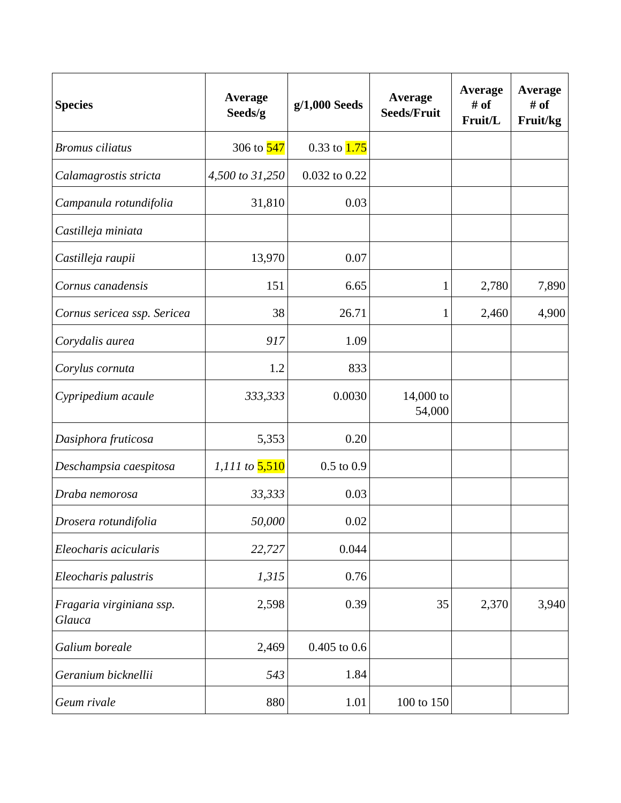| <b>Species</b>                     | Average<br>Seeds/g    | g/1,000 Seeds    | <b>Average</b><br><b>Seeds/Fruit</b> | Average<br># of<br>Fruit/L | <b>Average</b><br># of<br>Fruit/kg |
|------------------------------------|-----------------------|------------------|--------------------------------------|----------------------------|------------------------------------|
| <b>Bromus</b> ciliatus             | 306 to 547            | 0.33 to $1.75$   |                                      |                            |                                    |
| Calamagrostis stricta              | 4,500 to 31,250       | 0.032 to 0.22    |                                      |                            |                                    |
| Campanula rotundifolia             | 31,810                | 0.03             |                                      |                            |                                    |
| Castilleja miniata                 |                       |                  |                                      |                            |                                    |
| Castilleja raupii                  | 13,970                | 0.07             |                                      |                            |                                    |
| Cornus canadensis                  | 151                   | 6.65             | 1                                    | 2,780                      | 7,890                              |
| Cornus sericea ssp. Sericea        | 38                    | 26.71            | 1                                    | 2,460                      | 4,900                              |
| Corydalis aurea                    | 917                   | 1.09             |                                      |                            |                                    |
| Corylus cornuta                    | 1.2                   | 833              |                                      |                            |                                    |
| Cypripedium acaule                 | 333,333               | 0.0030           | $14,000$ to<br>54,000                |                            |                                    |
| Dasiphora fruticosa                | 5,353                 | 0.20             |                                      |                            |                                    |
| Deschampsia caespitosa             | 1,111 to <b>5,510</b> | $0.5$ to $0.9$   |                                      |                            |                                    |
| Draba nemorosa                     | 33,333                | 0.03             |                                      |                            |                                    |
| Drosera rotundifolia               | 50,000                | 0.02             |                                      |                            |                                    |
| Eleocharis acicularis              | 22,727                | 0.044            |                                      |                            |                                    |
| Eleocharis palustris               | 1,315                 | 0.76             |                                      |                            |                                    |
| Fragaria virginiana ssp.<br>Glauca | 2,598                 | 0.39             | 35                                   | 2,370                      | 3,940                              |
| Galium boreale                     | 2,469                 | $0.405$ to $0.6$ |                                      |                            |                                    |
| Geranium bicknellii                | 543                   | 1.84             |                                      |                            |                                    |
| Geum rivale                        | 880                   | 1.01             | 100 to 150                           |                            |                                    |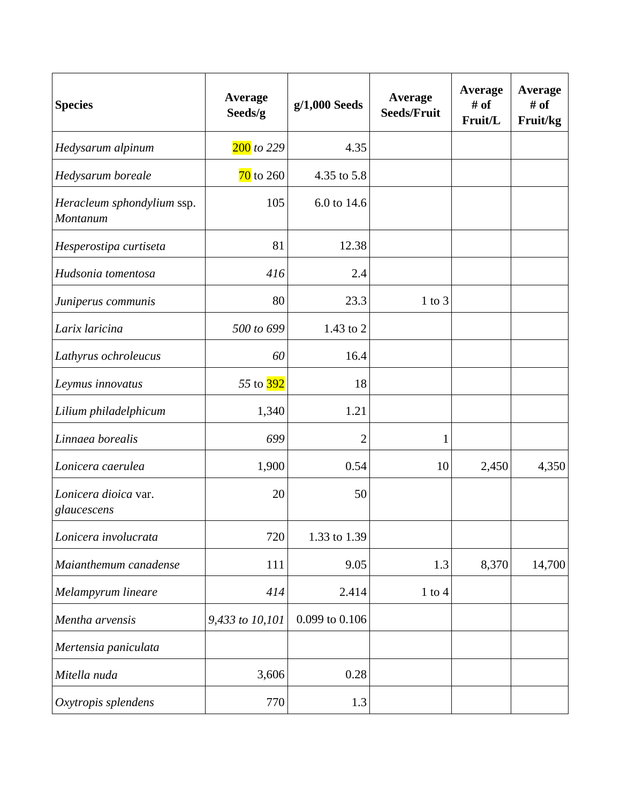| <b>Species</b>                         | <b>Average</b><br>Seeds/g | $g/1,000$ Seeds | Average<br><b>Seeds/Fruit</b> | Average<br># of<br>Fruit/L | <b>Average</b><br># of<br>Fruit/kg |
|----------------------------------------|---------------------------|-----------------|-------------------------------|----------------------------|------------------------------------|
| Hedysarum alpinum                      | $200$ to 229              | 4.35            |                               |                            |                                    |
| Hedysarum boreale                      | $\overline{70}$ to 260    | 4.35 to 5.8     |                               |                            |                                    |
| Heracleum sphondylium ssp.<br>Montanum | 105                       | 6.0 to 14.6     |                               |                            |                                    |
| Hesperostipa curtiseta                 | 81                        | 12.38           |                               |                            |                                    |
| Hudsonia tomentosa                     | 416                       | 2.4             |                               |                            |                                    |
| Juniperus communis                     | 80                        | 23.3            | $1$ to $3$                    |                            |                                    |
| Larix laricina                         | 500 to 699                | 1.43 to 2       |                               |                            |                                    |
| Lathyrus ochroleucus                   | 60                        | 16.4            |                               |                            |                                    |
| Leymus innovatus                       | 55 to 392                 | 18              |                               |                            |                                    |
| Lilium philadelphicum                  | 1,340                     | 1.21            |                               |                            |                                    |
| Linnaea borealis                       | 699                       | $\overline{2}$  | $\mathbf{1}$                  |                            |                                    |
| Lonicera caerulea                      | 1,900                     | 0.54            | 10                            | 2,450                      | 4,350                              |
| Lonicera dioica var.<br>glaucescens    | 20                        | 50              |                               |                            |                                    |
| Lonicera involucrata                   | 720                       | 1.33 to 1.39    |                               |                            |                                    |
| Maianthemum canadense                  | 111                       | 9.05            | 1.3                           | 8,370                      | 14,700                             |
| Melampyrum lineare                     | 414                       | 2.414           | $1$ to $4$                    |                            |                                    |
| Mentha arvensis                        | 9,433 to 10,101           | 0.099 to 0.106  |                               |                            |                                    |
| Mertensia paniculata                   |                           |                 |                               |                            |                                    |
| Mitella nuda                           | 3,606                     | 0.28            |                               |                            |                                    |
| Oxytropis splendens                    | 770                       | 1.3             |                               |                            |                                    |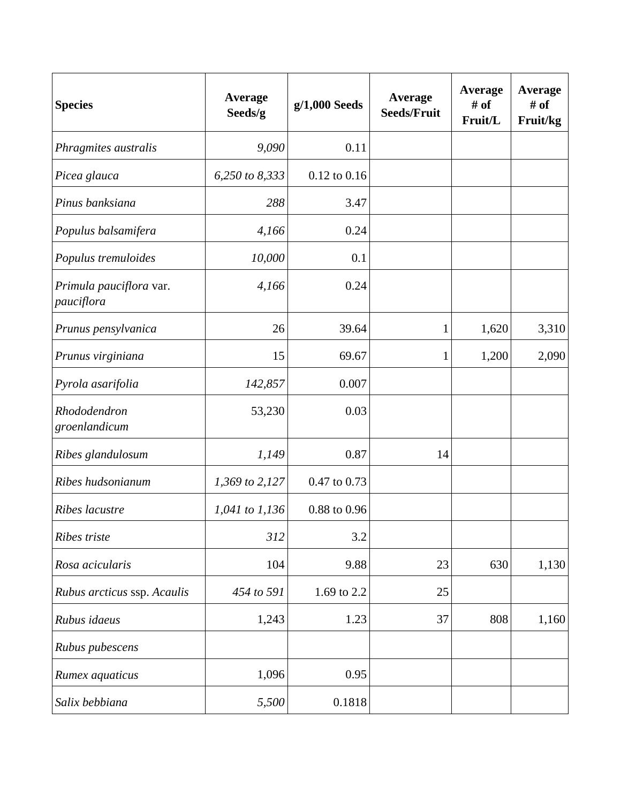| <b>Species</b>                        | Average<br>Seeds/g | $g/1,000$ Seeds  | Average<br><b>Seeds/Fruit</b> | Average<br># of<br>Fruit/L | <b>Average</b><br># of<br>Fruit/kg |
|---------------------------------------|--------------------|------------------|-------------------------------|----------------------------|------------------------------------|
| Phragmites australis                  | 9,090              | 0.11             |                               |                            |                                    |
| Picea glauca                          | 6,250 to 8,333     | $0.12$ to $0.16$ |                               |                            |                                    |
| Pinus banksiana                       | 288                | 3.47             |                               |                            |                                    |
| Populus balsamifera                   | 4,166              | 0.24             |                               |                            |                                    |
| Populus tremuloides                   | 10,000             | 0.1              |                               |                            |                                    |
| Primula pauciflora var.<br>pauciflora | 4,166              | 0.24             |                               |                            |                                    |
| Prunus pensylvanica                   | 26                 | 39.64            | 1                             | 1,620                      | 3,310                              |
| Prunus virginiana                     | 15                 | 69.67            | 1                             | 1,200                      | 2,090                              |
| Pyrola asarifolia                     | 142,857            | 0.007            |                               |                            |                                    |
| Rhododendron<br>groenlandicum         | 53,230             | 0.03             |                               |                            |                                    |
| Ribes glandulosum                     | 1,149              | 0.87             | 14                            |                            |                                    |
| Ribes hudsonianum                     | 1,369 to 2,127     | 0.47 to 0.73     |                               |                            |                                    |
| Ribes lacustre                        | 1,041 to 1,136     | 0.88 to 0.96     |                               |                            |                                    |
| Ribes triste                          | 312                | 3.2              |                               |                            |                                    |
| Rosa acicularis                       | 104                | 9.88             | 23                            | 630                        | 1,130                              |
| Rubus arcticus ssp. Acaulis           | 454 to 591         | 1.69 to 2.2      | 25                            |                            |                                    |
| Rubus idaeus                          | 1,243              | 1.23             | 37                            | 808                        | 1,160                              |
| Rubus pubescens                       |                    |                  |                               |                            |                                    |
| Rumex aquaticus                       | 1,096              | 0.95             |                               |                            |                                    |
| Salix bebbiana                        | 5,500              | 0.1818           |                               |                            |                                    |